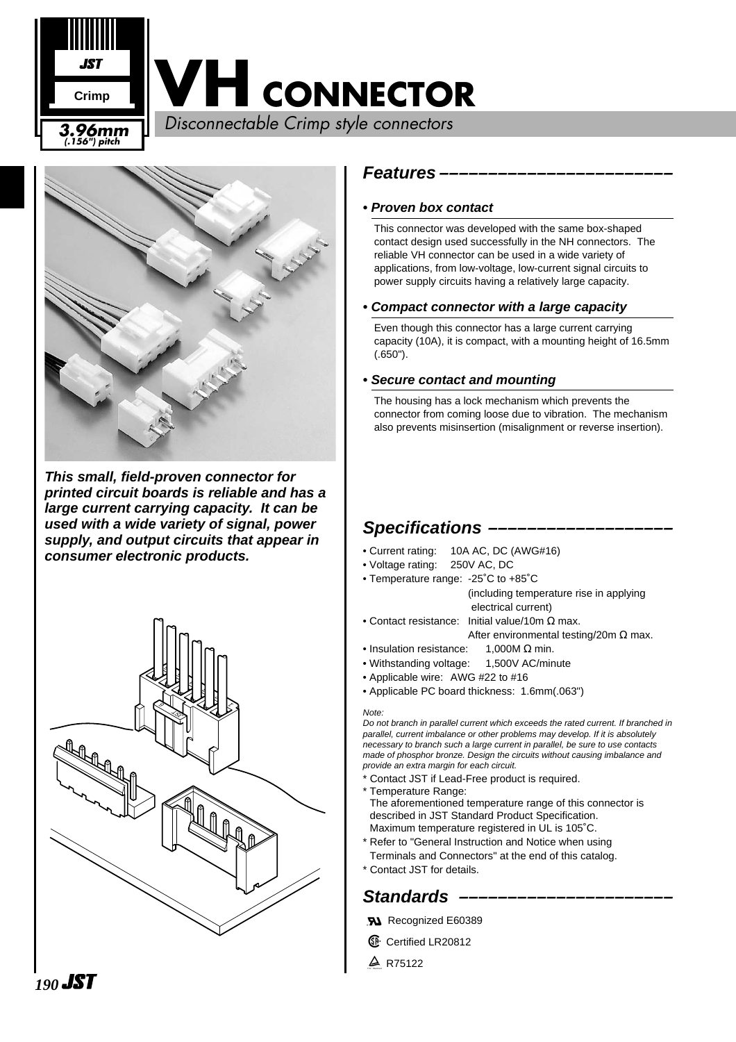



**This small, field-proven connector for printed circuit boards is reliable and has a large current carrying capacity. It can be used with a wide variety of signal, power supply, and output circuits that appear in consumer electronic products.**



#### **Features ––––––––––––––––––––––––**

#### **• Proven box contact**

This connector was developed with the same box-shaped contact design used successfully in the NH connectors. The reliable VH connector can be used in a wide variety of applications, from low-voltage, low-current signal circuits to power supply circuits having a relatively large capacity.

#### **• Compact connector with a large capacity**

Even though this connector has a large current carrying capacity (10A), it is compact, with a mounting height of 16.5mm (.650").

#### **• Secure contact and mounting**

The housing has a lock mechanism which prevents the connector from coming loose due to vibration. The mechanism also prevents misinsertion (misalignment or reverse insertion).

## **Specifications –––––––––––––––––––**

- Current rating: 10A AC, DC (AWG#16)
- Voltage rating: 250V AC, DC
- Temperature range: -25˚C to +85˚C (including temperature rise in applying electrical current)
- Contact resistance: Initial value/10m  $\Omega$  max. After environmental testing/20m  $\Omega$  max.
- Insulation resistance: 1,000M Ω min.
- Withstanding voltage: 1,500V AC/minute
- Applicable wire: AWG #22 to #16
- Applicable PC board thickness: 1.6mm(.063")

#### Note:

Do not branch in parallel current which exceeds the rated current. If branched in parallel, current imbalance or other problems may develop. If it is absolutely necessary to branch such a large current in parallel, be sure to use contacts made of phosphor bronze. Design the circuits without causing imbalance and provide an extra margin for each circuit.

- Contact JST if Lead-Free product is required.
- \* Temperature Range:

The aforementioned temperature range of this connector is described in JST Standard Product Specification. Maximum temperature registered in UL is 105˚C.

- \* Refer to "General Instruction and Notice when using
- Terminals and Connectors" at the end of this catalog.
- \* Contact JST for details.

## Standards -

- **RA** Recognized E60389
- **6** Certified LR20812
- $\triangle$  R75122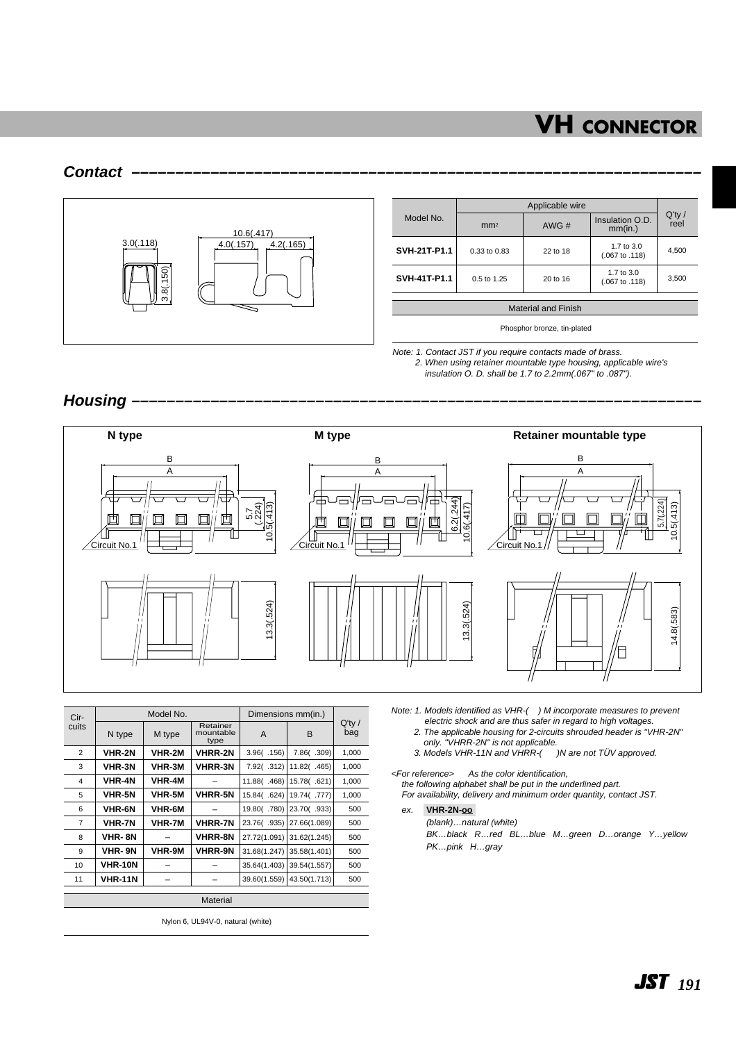#### **Contact –––––––––––––––––––––––––––––––––––––––––––––––––––––––––––––––––**



|              | Applicable wire  |          |                                         |                   |
|--------------|------------------|----------|-----------------------------------------|-------------------|
| Model No.    | mm <sup>2</sup>  | AWG#     | Insulation O.D.<br>mm(in.)              | $Q'$ ty /<br>reel |
| SVH-21T-P1.1 | $0.33$ to $0.83$ | 22 to 18 | 1.7 to 3.0<br>$(.067 \text{ to } .118)$ | 4,500             |
| SVH-41T-P1.1 | 0.5 to 1.25      | 20 to 16 | 1.7 to 3.0<br>$(.067 \text{ to } .118)$ | 3,500             |
|              |                  |          |                                         |                   |

Material and Finish

Phosphor bronze, tin-plated

Note: 1. Contact JST if you require contacts made of brass. 2. When using retainer mountable type housing, applicable wire's insulation O. D. shall be 1.7 to 2.2mm(.067" to .087").

#### Housing -

Cir-cuits

2 3 4



Q'ty / bag

1,000 1,000 1,000 Note: 1. Models identified as VHR-( ) M incorporate measures to prevent

- electric shock and are thus safer in regard to high voltages.
- 2. The applicable housing for 2-circuits shrouded header is "VHR-2N" only. "VHRR-2N" is not applicable.
- 3. Models VHR-11N and VHRR-( )N are not TÜV approved.

<For reference> As the color identification, the following alphabet shall be put in the underlined part. For availability, delivery and minimum order quantity, contact JST.

ex. **VHR-2N-oo-**

(blank)…natural (white)

BK…black R…red BL…blue M…green D…orange Y…yellow PK…pink H…gray

| 5        | <b>VHR-5N</b>  | VHR-5M        | <b>VHRR-5N</b> | 15.84( .624) | 19.74(.777)               | 1,000 |  |
|----------|----------------|---------------|----------------|--------------|---------------------------|-------|--|
| 6        | <b>VHR-6N</b>  | VHR-6M        |                |              | 19.80(.780) 23.70(.933)   | 500   |  |
| 7        | <b>VHR-7N</b>  | <b>VHR-7M</b> | <b>VHRR-7N</b> | 23.76(.935)  | 27.66(1.089)              | 500   |  |
| 8        | VHR-8N         |               | <b>VHRR-8N</b> |              | 27.72(1.091) 31.62(1.245) | 500   |  |
| 9        | VHR-9N         | VHR-9M        | <b>VHRR-9N</b> | 31.68(1.247) | 35.58(1.401)              | 500   |  |
| 10       | <b>VHR-10N</b> |               |                | 35.64(1.403) | 39.54(1.557)              | 500   |  |
| 11       | <b>VHR-11N</b> |               |                | 39.60(1.559) | 43.50(1.713)              | 500   |  |
|          |                |               |                |              |                           |       |  |
| Material |                |               |                |              |                           |       |  |
|          |                |               |                |              |                           |       |  |

Retainer mountable type **VHRR-2N VHRR-3N** –

Dimensions mm(in.)  $A \parallel B$ 

7.92( .312) 11.82( .465) 11.88( .468) 15.78( .621)

7.86( .309)

3.96( .156)

Model No.

**VHR-2M VHR-3M VHR-4M**

 $N$  type  $\parallel$  M type

**VHR-2N VHR-3N VHR-4N**

Nylon 6, UL94V-0, natural (white)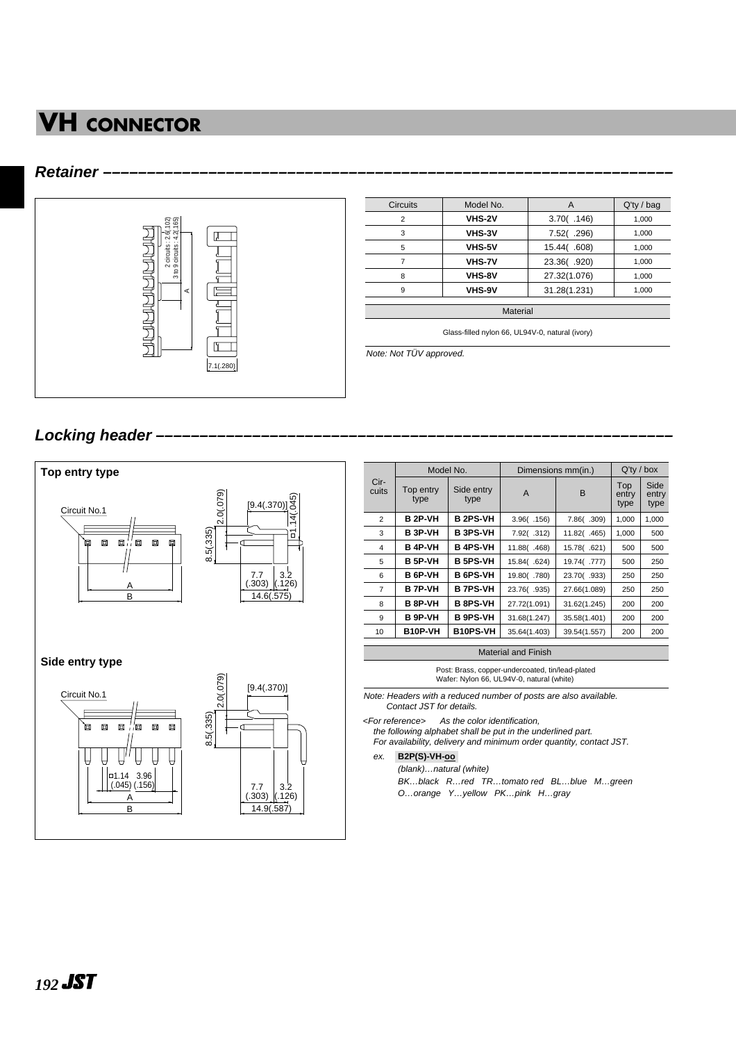#### **Retainer –––––––––––––––––––––––––––––––––––––––––––––––––––––––––––––––––**



| <b>Circuits</b> | Model No.     | A            | $Q'$ ty / bag |
|-----------------|---------------|--------------|---------------|
| $\overline{2}$  | <b>VHS-2V</b> | 3.70( .146)  | 1,000         |
| 3               | VHS-3V        | 7.52(.296)   | 1,000         |
| 5               | <b>VHS-5V</b> | 15.44(.608)  | 1,000         |
| 7               | <b>VHS-7V</b> | 23.36(.920)  | 1,000         |
| 8               | VHS-8V        | 27.32(1.076) | 1,000         |
| 9               | VHS-9V        | 31.28(1.231) | 1,000         |

Glass-filled nylon 66, UL94V-0, natural (ivory)

Note: Not TÜV approved.

## Locking header -



|                | Model No.         |                    | Dimensions mm(in.) | $Q'$ ty / box |                      |                       |
|----------------|-------------------|--------------------|--------------------|---------------|----------------------|-----------------------|
| Cir-<br>cuits  | Top entry<br>type | Side entry<br>type | A                  | B             | Top<br>entry<br>type | Side<br>entry<br>type |
| $\overline{2}$ | <b>B 2P-VH</b>    | <b>B2PS-VH</b>     | 3.96( .156)        | 7.86(.309)    | 1,000                | 1,000                 |
| 3              | B 3P-VH           | <b>B 3PS-VH</b>    | 7.92(.312)         | 11.82(.465)   | 1,000                | 500                   |
| 4              | B 4P-VH           | <b>B 4PS-VH</b>    | 11.88 (.468)       | 15.78(.621)   | 500                  | 500                   |
| 5              | <b>B 5P-VH</b>    | <b>B 5PS-VH</b>    | 15.84(.624)        | 19.74(.777)   | 500                  | 250                   |
| 6              | <b>B</b> 6P-VH    | <b>B</b> 6PS-VH    | 19.80(.780)        | 23.70(.933)   | 250                  | 250                   |
| $\overline{7}$ | <b>B 7P-VH</b>    | <b>B 7PS-VH</b>    | 23.76(.935)        | 27.66(1.089)  | 250                  | 250                   |
| 8              | B 8P-VH           | <b>B 8PS-VH</b>    | 27.72(1.091)       | 31.62(1.245)  | 200                  | 200                   |
| 9              | B 9P-VH           | <b>B 9PS-VH</b>    | 31.68(1.247)       | 35.58(1.401)  | 200                  | 200                   |
| 10             | B10P-VH           | <b>B10PS-VH</b>    | 35.64(1.403)       | 39.54(1.557)  | 200                  | 200                   |
|                |                   |                    |                    |               |                      |                       |

Material and Finish

Post: Brass, copper-undercoated, tin/lead-plated Wafer: Nylon 66, UL94V-0, natural (white)

Note: Headers with a reduced number of posts are also available. Contact JST for details.

<For reference> As the color identification,

the following alphabet shall be put in the underlined part.

For availability, delivery and minimum order quantity, contact JST.

ex. **B2P(S)-VH-oo-**

(blank)…natural (white) BK…black R…red TR…tomato red BL…blue M…green

O…orange Y…yellow PK…pink H…gray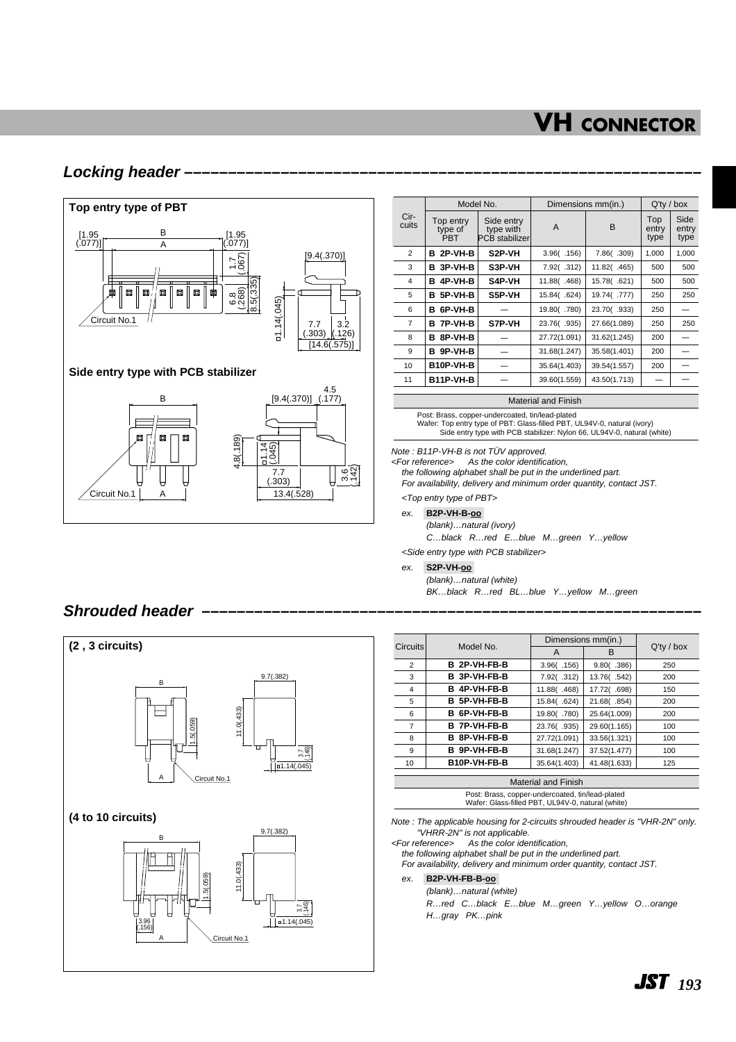## **Locking header –––––––––––––––––––––––––––––––––––––––––––––––––––––––––––**



|                | Model No.                   |                                           | Dimensions mm(in.) | $Q'$ ty / box |                      |                       |
|----------------|-----------------------------|-------------------------------------------|--------------------|---------------|----------------------|-----------------------|
| Cir-<br>cuits  | Top entry<br>type of<br>PRT | Side entry<br>type with<br>PCB stabilizer | $\overline{A}$     | B             | Top<br>entry<br>type | Side<br>entry<br>type |
| 2              | 2P-VH-B<br>в                | S <sub>2</sub> P-VH                       | 3.96( .156)        | 7.86(.309)    | 1.000                | 1,000                 |
| 3              | 3P-VH-B<br>в                | S3P-VH                                    | 7.92(.312)         | 11.82(.465)   | 500                  | 500                   |
| 4              | 4P-VH-B<br>в                | S4P-VH                                    | 11.88 (.468)       | 15.78(.621)   | 500                  | 500                   |
| 5              | 5P-VH-B<br>в                | S5P-VH                                    | 15.84(.624)        | 19.74(.777)   | 250                  | 250                   |
| 6              | 6P-VH-B<br>в                |                                           | 19.80(.780)        | 23.70(.933)   | 250                  |                       |
| $\overline{7}$ | 7P-VH-B<br>в                | S7P-VH                                    | 23.76(.935)        | 27.66(1.089)  | 250                  | 250                   |
| 8              | 8P-VH-B<br>в                |                                           | 27.72(1.091)       | 31.62(1.245)  | 200                  |                       |
| 9              | 9P-VH-B<br>в                |                                           | 31.68(1.247)       | 35.58(1.401)  | 200                  |                       |
| 10             | B10P-VH-B                   |                                           | 35.64(1.403)       | 39.54(1.557)  | 200                  |                       |
| 11             | B11P-VH-B                   |                                           | 39.60(1.559)       | 43.50(1.713)  |                      |                       |

Material and Finish

Post: Brass, copper-undercoated, tin/lead-plated Wafer: Top entry type of PBT: Glass-filled PBT, UL94V-0, natural (ivory) Side entry type with PCB stabilizer: Nylon 66, UL94V-0, natural (white)

#### Note : B11P-VH-B is not TÜV approved.

<For reference> As the color identification,

the following alphabet shall be put in the underlined part.

For availability, delivery and minimum order quantity, contact JST.

<Top entry type of PBT>

ex. **B2P-VH-B-oo-** (blank)…natural (ivory)

C…black R…red E…blue M…green Y…yellow

<Side entry type with PCB stabilizer>

#### ex. **S2P-VH-oo-**

(blank)…natural (white) BK…black R…red BL…blue Y…yellow M…green

## Shrouded header -



| <b>Circuits</b>            | Model No.        | Dimensions mm(in.) |              |               |  |  |
|----------------------------|------------------|--------------------|--------------|---------------|--|--|
|                            |                  | A                  | в            | $Q'$ ty / box |  |  |
| $\overline{2}$             | B 2P-VH-FB-B     | 3.96( .156)        | 9.80( .386)  | 250           |  |  |
| 3                          | B 3P-VH-FB-B     | 7.92(.312)         | 13.76(.542)  | 200           |  |  |
| $\overline{4}$             | 4P-VH-FB-B<br>в  | 11.88(.468)        | 17.72(.698)  | 150           |  |  |
| 5                          | B 5P-VH-FB-B     | 15.84(.624)        | 21.68(.854)  | 200           |  |  |
| 6                          | 6P-VH-FB-B<br>в. | 19.80(.780)        | 25.64(1.009) | 200           |  |  |
| $\overline{7}$             | B 7P-VH-FB-B     | 23.76(.935)        | 29.60(1.165) | 100           |  |  |
| 8                          | 8P-VH-FB-B<br>в. | 27.72(1.091)       | 33.56(1.321) | 100           |  |  |
| 9                          | B 9P-VH-FB-B     | 31.68(1.247)       | 37.52(1.477) | 100           |  |  |
| 10                         | B10P-VH-FB-B     | 35.64(1.403)       | 41.48(1.633) | 125           |  |  |
|                            |                  |                    |              |               |  |  |
| <b>Material and Finish</b> |                  |                    |              |               |  |  |

Post: Brass, copper-undercoated, tin/lead-plated Wafer: Glass-filled PBT, UL94V-0, natural (white)

Note : The applicable housing for 2-circuits shrouded header is "VHR-2N" only. "VHRR-2N" is not applicable.

<For reference> As the color identification,

the following alphabet shall be put in the underlined part. For availability, delivery and minimum order quantity, contact JST.

#### ex. **B2P-VH-FB-B-oo-**

(blank)…natural (white) R…red C…black E…blue M…green Y…yellow O…orange H…gray PK…pink